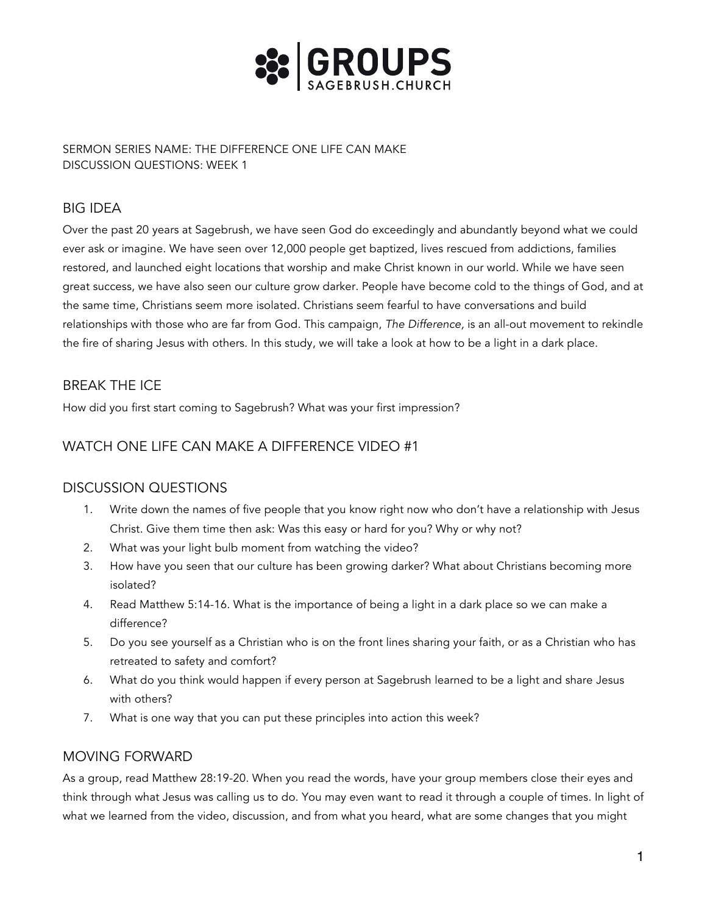

SERMON SERIES NAME: THE DIFFERENCE ONE LIFE CAN MAKE DISCUSSION QUESTIONS: WEEK 1

# BIG IDEA

Over the past 20 years at Sagebrush, we have seen God do exceedingly and abundantly beyond what we could ever ask or imagine. We have seen over 12,000 people get baptized, lives rescued from addictions, families restored, and launched eight locations that worship and make Christ known in our world. While we have seen great success, we have also seen our culture grow darker. People have become cold to the things of God, and at the same time, Christians seem more isolated. Christians seem fearful to have conversations and build relationships with those who are far from God. This campaign, *The Difference,* is an all-out movement to rekindle the fire of sharing Jesus with others. In this study, we will take a look at how to be a light in a dark place.

## BREAK THE ICE

How did you first start coming to Sagebrush? What was your first impression?

## WATCH ONE LIFE CAN MAKE A DIFFERENCE VIDEO #1

### DISCUSSION QUESTIONS

- 1. Write down the names of five people that you know right now who don't have a relationship with Jesus Christ. Give them time then ask: Was this easy or hard for you? Why or why not?
- 2. What was your light bulb moment from watching the video?
- 3. How have you seen that our culture has been growing darker? What about Christians becoming more isolated?
- 4. Read Matthew 5:14-16. What is the importance of being a light in a dark place so we can make a difference?
- 5. Do you see yourself as a Christian who is on the front lines sharing your faith, or as a Christian who has retreated to safety and comfort?
- 6. What do you think would happen if every person at Sagebrush learned to be a light and share Jesus with others?
- 7. What is one way that you can put these principles into action this week?

### MOVING FORWARD

As a group, read Matthew 28:19-20. When you read the words, have your group members close their eyes and think through what Jesus was calling us to do. You may even want to read it through a couple of times. In light of what we learned from the video, discussion, and from what you heard, what are some changes that you might